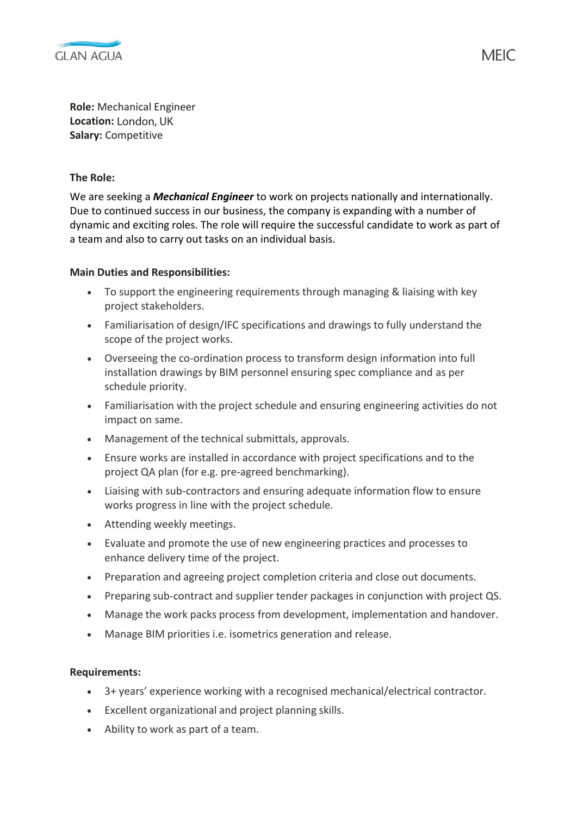

**Role:** Mechanical Engineer **Location:** London, UK **Salary:** Competitive

## **The Role:**

We are seeking a *Mechanical Engineer* to work on projects nationally and internationally. Due to continued success in our business, the company is expanding with a number of dynamic and exciting roles. The role will require the successful candidate to work as part of a team and also to carry out tasks on an individual basis.

## **Main Duties and Responsibilities:**

- To support the engineering requirements through managing & liaising with key project stakeholders.
- Familiarisation of design/IFC specifications and drawings to fully understand the scope of the project works.
- Overseeing the co-ordination process to transform design information into full installation drawings by BIM personnel ensuring spec compliance and as per schedule priority.
- Familiarisation with the project schedule and ensuring engineering activities do not impact on same.
- Management of the technical submittals, approvals.
- Ensure works are installed in accordance with project specifications and to the project QA plan (for e.g. pre-agreed benchmarking).
- Liaising with sub-contractors and ensuring adequate information flow to ensure works progress in line with the project schedule.
- Attending weekly meetings.
- Evaluate and promote the use of new engineering practices and processes to enhance delivery time of the project.
- Preparation and agreeing project completion criteria and close out documents.
- Preparing sub-contract and supplier tender packages in conjunction with project QS.
- Manage the work packs process from development, implementation and handover.
- Manage BIM priorities i.e. isometrics generation and release.

## **Requirements:**

- 3+ years' experience working with a recognised mechanical/electrical contractor.
- Excellent organizational and project planning skills.
- Ability to work as part of a team.